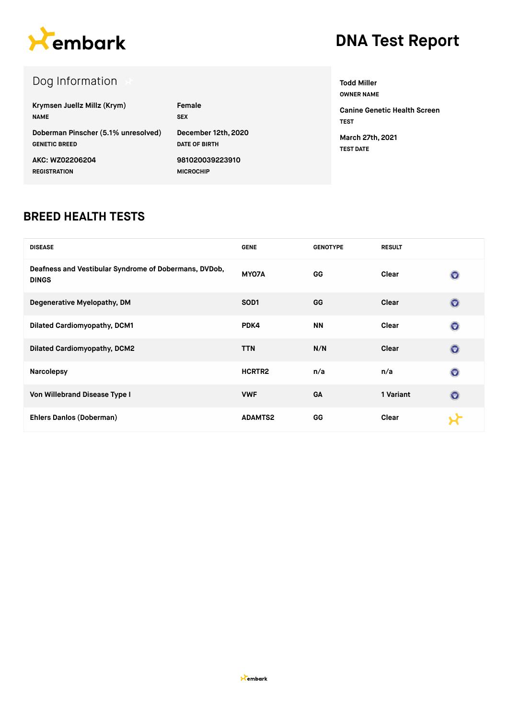

# **DNA Test Report**

## Dog Information

| Krymsen Juellz Millz (Krym)         | Female               |
|-------------------------------------|----------------------|
| <b>NAME</b>                         | <b>SEX</b>           |
| Doberman Pinscher (5.1% unresolved) | December 12th, 2020  |
| <b>GENETIC BREED</b>                | <b>DATE OF BIRTH</b> |
| AKC: WZ02206204                     | 981020039223910      |
| <b>REGISTRATION</b>                 | <b>MICROCHIP</b>     |

**Todd Miller OWNER NAME Canine Genetic Health Screen TEST**

**March 27th, 2021 TEST DATE**

#### **BREED HEALTH TESTS**

| <b>DISEASE</b>                                                        | <b>GENE</b>      | <b>GENOTYPE</b> | <b>RESULT</b> |                |
|-----------------------------------------------------------------------|------------------|-----------------|---------------|----------------|
| Deafness and Vestibular Syndrome of Dobermans, DVDob,<br><b>DINGS</b> | MY07A            | <b>GG</b>       | Clear         | $\circledcirc$ |
| Degenerative Myelopathy, DM                                           | SOD <sub>1</sub> | GG              | Clear         | $\circledcirc$ |
| <b>Dilated Cardiomyopathy, DCM1</b>                                   | PDK4             | <b>NN</b>       | Clear         | $\circledcirc$ |
| <b>Dilated Cardiomyopathy, DCM2</b>                                   | <b>TTN</b>       | N/N             | Clear         | $\odot$        |
| <b>Narcolepsy</b>                                                     | HCRTR2           | n/a             | n/a           | $\circledcirc$ |
| Von Willebrand Disease Type I                                         | <b>VWF</b>       | <b>GA</b>       | 1 Variant     | $\odot$        |
| Ehlers Danlos (Doberman)                                              | <b>ADAMTS2</b>   | GG              | Clear         |                |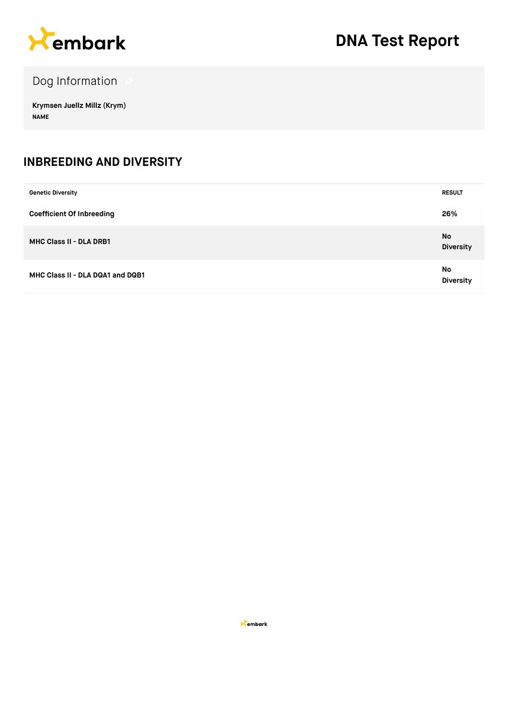

Dog Information

**Krymsen Juellz Millz (Krym) NAME**

#### **INBREEDING AND DIVERSITY**

| <b>Genetic Diversity</b>         | <b>RESULT</b>          |
|----------------------------------|------------------------|
| <b>Coefficient Of Inbreeding</b> | 26%                    |
| MHC Class II - DLA DRB1          | No<br><b>Diversity</b> |
| MHC Class II - DLA DQA1 and DQB1 | No<br><b>Diversity</b> |

**X**embark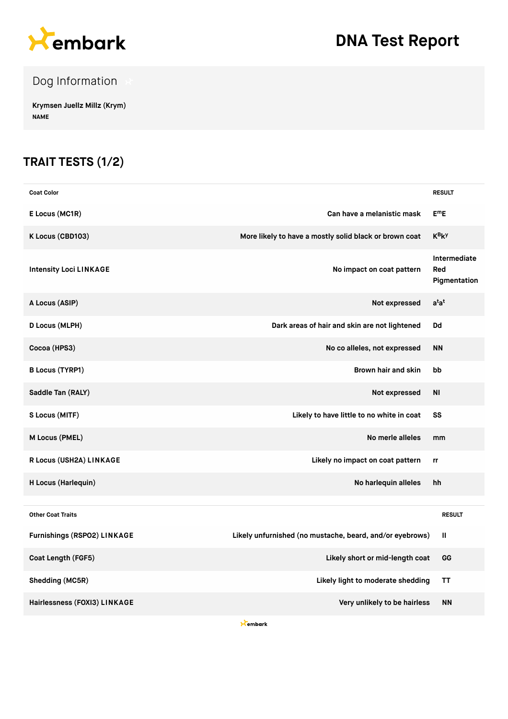

# **DNA Test Report**

### Dog Information

**Krymsen Juellz Millz (Krym) NAME**

### **TRAIT TESTS (1/2)**

| <b>Coat Color</b>                  |                                                          | <b>RESULT</b>                       |
|------------------------------------|----------------------------------------------------------|-------------------------------------|
| E Locus (MC1R)                     | Can have a melanistic mask                               | $E^mE$                              |
| K Locus (CBD103)                   | More likely to have a mostly solid black or brown coat   | $K_BK_A$                            |
| <b>Intensity Loci LINKAGE</b>      | No impact on coat pattern                                | Intermediate<br>Red<br>Pigmentation |
| A Locus (ASIP)                     | Not expressed                                            | $a^{\dagger}a^{\dagger}$            |
| D Locus (MLPH)                     | Dark areas of hair and skin are not lightened            | Dd                                  |
| Cocoa (HPS3)                       | No co alleles, not expressed                             | <b>NN</b>                           |
| <b>B Locus (TYRP1)</b>             | Brown hair and skin                                      | bb                                  |
| Saddle Tan (RALY)                  | Not expressed                                            | ΝI                                  |
| S Locus (MITF)                     | Likely to have little to no white in coat                | SS                                  |
| M Locus (PMEL)                     | No merle alleles                                         | mm                                  |
| R Locus (USH2A) LINKAGE            | Likely no impact on coat pattern                         | rr                                  |
| H Locus (Harlequin)                | No harlequin alleles                                     | hh                                  |
| <b>Other Coat Traits</b>           |                                                          | <b>RESULT</b>                       |
| <b>Furnishings (RSPO2) LINKAGE</b> | Likely unfurnished (no mustache, beard, and/or eyebrows) | Ш                                   |
| Coat Length (FGF5)                 | Likely short or mid-length coat                          | GG                                  |
| Shedding (MC5R)                    | Likely light to moderate shedding                        | ТT                                  |
| Hairlessness (FOXI3) LINKAGE       | Very unlikely to be hairless                             | <b>NN</b>                           |

**X**embark